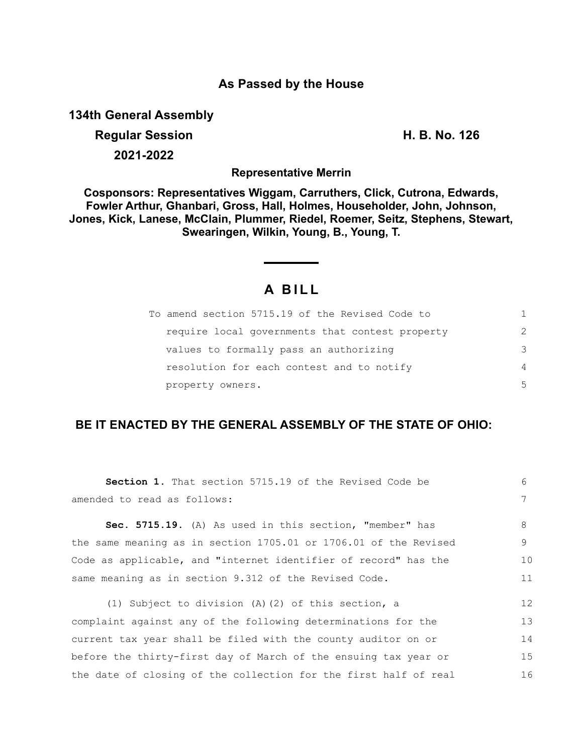### **As Passed by the House**

**134th General Assembly**

# **Regular Session H. B. No. 126 2021-2022**

**Representative Merrin**

**Cosponsors: Representatives Wiggam, Carruthers, Click, Cutrona, Edwards, Fowler Arthur, Ghanbari, Gross, Hall, Holmes, Householder, John, Johnson, Jones, Kick, Lanese, McClain, Plummer, Riedel, Roemer, Seitz, Stephens, Stewart, Swearingen, Wilkin, Young, B., Young, T.**

## **A B I L L**

| To amend section 5715.19 of the Revised Code to | 1.            |
|-------------------------------------------------|---------------|
| require local governments that contest property | $\mathcal{P}$ |
| values to formally pass an authorizing          | 3             |
| resolution for each contest and to notify       | 4             |
| property owners.                                | 5             |

## **BE IT ENACTED BY THE GENERAL ASSEMBLY OF THE STATE OF OHIO:**

| <b>Section 1.</b> That section 5715.19 of the Revised Code be    | 6  |
|------------------------------------------------------------------|----|
| amended to read as follows:                                      |    |
| Sec. 5715.19. (A) As used in this section, "member" has          | 8  |
| the same meaning as in section 1705.01 or 1706.01 of the Revised | 9  |
| Code as applicable, and "internet identifier of record" has the  | 10 |
| same meaning as in section 9.312 of the Revised Code.            |    |
| (1) Subject to division (A) (2) of this section, a               | 12 |
| complaint against any of the following determinations for the    | 13 |
| current tax year shall be filed with the county auditor on or    | 14 |
| before the thirty-first day of March of the ensuing tax year or  | 15 |
| the date of closing of the collection for the first half of real | 16 |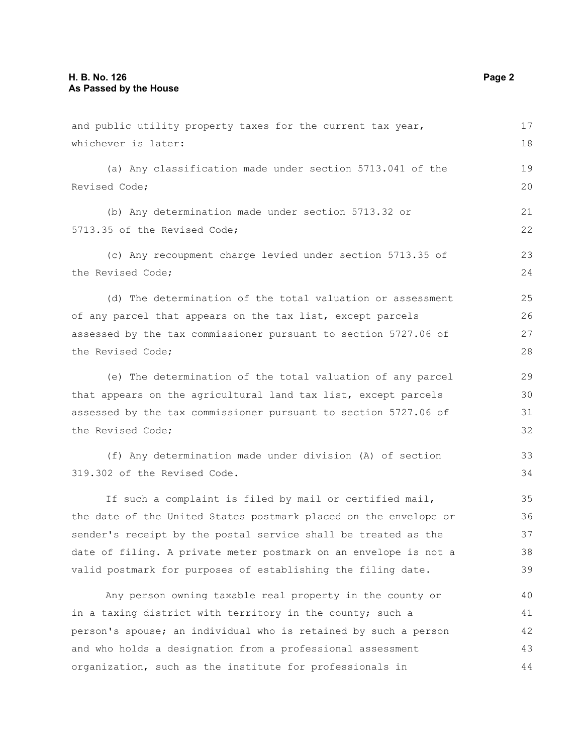| and public utility property taxes for the current tax year,      |    |
|------------------------------------------------------------------|----|
| whichever is later:                                              | 18 |
| (a) Any classification made under section 5713.041 of the        | 19 |
| Revised Code;                                                    | 20 |
| (b) Any determination made under section 5713.32 or              | 21 |
| 5713.35 of the Revised Code;                                     | 22 |
| (c) Any recoupment charge levied under section 5713.35 of        | 23 |
| the Revised Code;                                                | 24 |
| (d) The determination of the total valuation or assessment       | 25 |
| of any parcel that appears on the tax list, except parcels       | 26 |
| assessed by the tax commissioner pursuant to section 5727.06 of  | 27 |
| the Revised Code;                                                | 28 |
| (e) The determination of the total valuation of any parcel       | 29 |
| that appears on the agricultural land tax list, except parcels   |    |
| assessed by the tax commissioner pursuant to section 5727.06 of  |    |
| the Revised Code;                                                |    |
| (f) Any determination made under division (A) of section         | 33 |
| 319.302 of the Revised Code.                                     | 34 |
| If such a complaint is filed by mail or certified mail,          | 35 |
| the date of the United States postmark placed on the envelope or | 36 |
| sender's receipt by the postal service shall be treated as the   | 37 |
| date of filing. A private meter postmark on an envelope is not a | 38 |
| valid postmark for purposes of establishing the filing date.     | 39 |
| Any person owning taxable real property in the county or         | 40 |
| in a taxing district with territory in the county; such a        | 41 |
| person's spouse; an individual who is retained by such a person  |    |
| and who holds a designation from a professional assessment       | 43 |
| organization, such as the institute for professionals in         | 44 |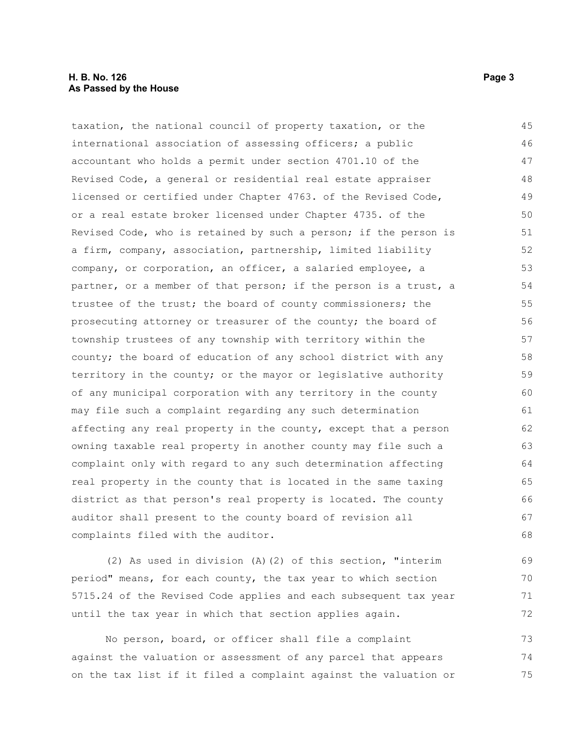#### **H. B. No. 126** Page 3 **As Passed by the House**

taxation, the national council of property taxation, or the international association of assessing officers; a public accountant who holds a permit under section 4701.10 of the Revised Code, a general or residential real estate appraiser licensed or certified under Chapter 4763. of the Revised Code, or a real estate broker licensed under Chapter 4735. of the Revised Code, who is retained by such a person; if the person is a firm, company, association, partnership, limited liability company, or corporation, an officer, a salaried employee, a partner, or a member of that person; if the person is a trust, a trustee of the trust; the board of county commissioners; the prosecuting attorney or treasurer of the county; the board of township trustees of any township with territory within the county; the board of education of any school district with any territory in the county; or the mayor or legislative authority of any municipal corporation with any territory in the county may file such a complaint regarding any such determination affecting any real property in the county, except that a person owning taxable real property in another county may file such a complaint only with regard to any such determination affecting real property in the county that is located in the same taxing district as that person's real property is located. The county auditor shall present to the county board of revision all complaints filed with the auditor. 45 46 47 48 49 50 51 52 53 54 55 56 57 58 59  $60$ 61 62 63 64 65 66 67 68

(2) As used in division (A)(2) of this section, "interim period" means, for each county, the tax year to which section 5715.24 of the Revised Code applies and each subsequent tax year until the tax year in which that section applies again. 69 70 71 72

No person, board, or officer shall file a complaint against the valuation or assessment of any parcel that appears on the tax list if it filed a complaint against the valuation or 73 74 75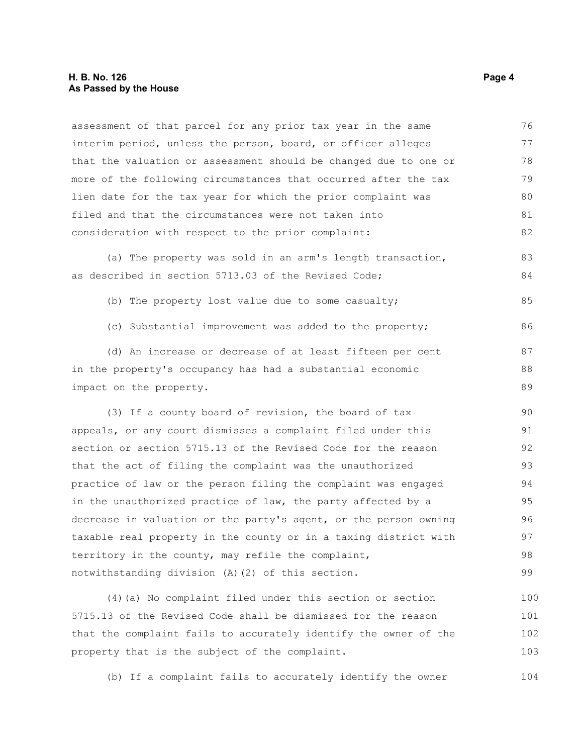assessment of that parcel for any prior tax year in the same interim period, unless the person, board, or officer alleges that the valuation or assessment should be changed due to one or more of the following circumstances that occurred after the tax lien date for the tax year for which the prior complaint was filed and that the circumstances were not taken into consideration with respect to the prior complaint: 76 77 78 79 80 81 82

(a) The property was sold in an arm's length transaction, as described in section 5713.03 of the Revised Code; 83 84

- (b) The property lost value due to some casualty;
- (c) Substantial improvement was added to the property;

(d) An increase or decrease of at least fifteen per cent in the property's occupancy has had a substantial economic impact on the property. 87 88 89

(3) If a county board of revision, the board of tax appeals, or any court dismisses a complaint filed under this section or section 5715.13 of the Revised Code for the reason that the act of filing the complaint was the unauthorized practice of law or the person filing the complaint was engaged in the unauthorized practice of law, the party affected by a decrease in valuation or the party's agent, or the person owning taxable real property in the county or in a taxing district with territory in the county, may refile the complaint, notwithstanding division (A)(2) of this section. 90 91 92 93 94 95 96 97 98 99

(4)(a) No complaint filed under this section or section 5715.13 of the Revised Code shall be dismissed for the reason that the complaint fails to accurately identify the owner of the property that is the subject of the complaint. 100 101 102 103

(b) If a complaint fails to accurately identify the owner 104

85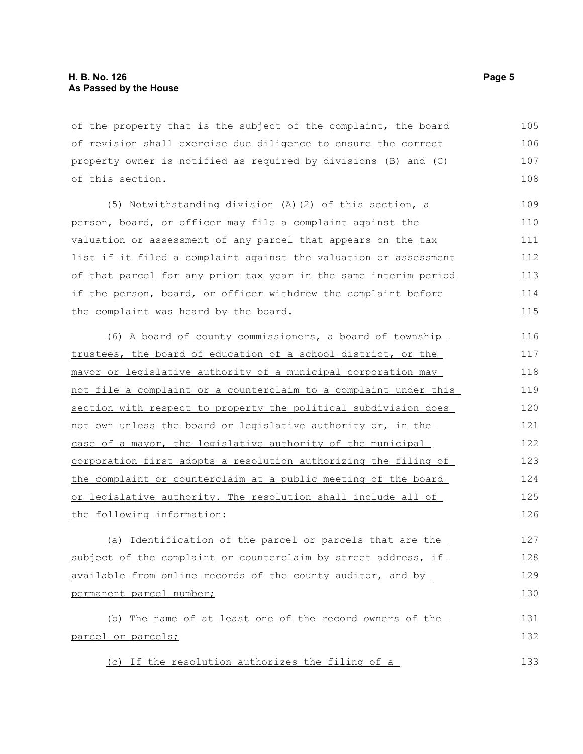of the property that is the subject of the complaint, the board of revision shall exercise due diligence to ensure the correct property owner is notified as required by divisions (B) and (C) of this section. 105 106 107 108

(5) Notwithstanding division (A)(2) of this section, a person, board, or officer may file a complaint against the valuation or assessment of any parcel that appears on the tax list if it filed a complaint against the valuation or assessment of that parcel for any prior tax year in the same interim period if the person, board, or officer withdrew the complaint before the complaint was heard by the board.

(6) A board of county commissioners, a board of township trustees, the board of education of a school district, or the mayor or legislative authority of a municipal corporation may not file a complaint or a counterclaim to a complaint under this section with respect to property the political subdivision does not own unless the board or legislative authority or, in the case of a mayor, the legislative authority of the municipal corporation first adopts a resolution authorizing the filing of the complaint or counterclaim at a public meeting of the board or legislative authority. The resolution shall include all of the following information: 116 117 118 119 120 121 122 123 124 125 126

(a) Identification of the parcel or parcels that are the subject of the complaint or counterclaim by street address, if available from online records of the county auditor, and by permanent parcel number; 127 128 129 130

(b) The name of at least one of the record owners of the parcel or parcels; 131 132

(c) If the resolution authorizes the filing of a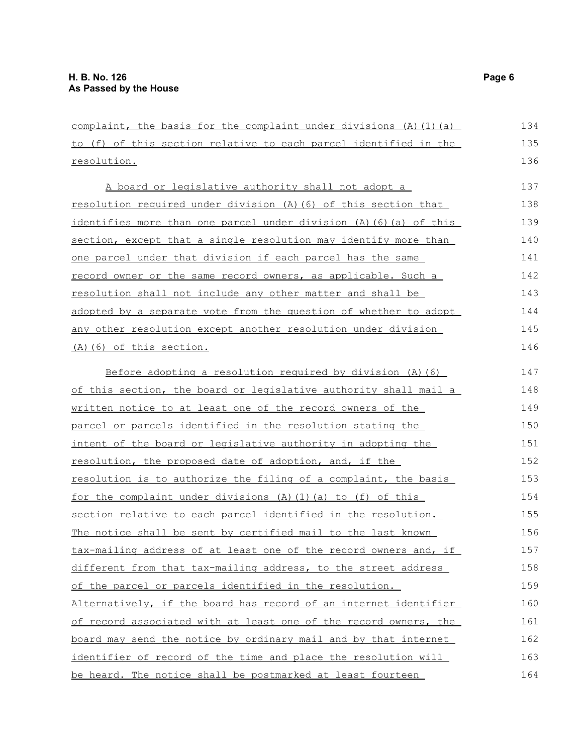| complaint, the basis for the complaint under divisions $(A)$ $(1)$ $(a)$ |     |
|--------------------------------------------------------------------------|-----|
| to (f) of this section relative to each parcel identified in the         |     |
| resolution.                                                              | 136 |
| A board or legislative authority shall not adopt a                       | 137 |
| resolution required under division (A) (6) of this section that          | 138 |
| identifies more than one parcel under division (A) (6) (a) of this       | 139 |
| section, except that a single resolution may identify more than          | 140 |
| one parcel under that division if each parcel has the same               | 141 |
| record owner or the same record owners, as applicable. Such a            | 142 |
| resolution shall not include any other matter and shall be               | 143 |
| adopted by a separate vote from the question of whether to adopt         | 144 |
| any other resolution except another resolution under division            | 145 |
| (A) (6) of this section.                                                 | 146 |
| Before adopting a resolution required by division $(A)$ $(6)$            | 147 |
| of this section, the board or legislative authority shall mail a         | 148 |
| written notice to at least one of the record owners of the               | 149 |
| parcel or parcels identified in the resolution stating the               | 150 |
| intent of the board or legislative authority in adopting the             | 151 |
| resolution, the proposed date of adoption, and, if the                   | 152 |
| resolution is to authorize the filing of a complaint, the basis          | 153 |
| for the complaint under divisions (A)(1)(a) to (f) of this               | 154 |
| section relative to each parcel identified in the resolution.            | 155 |
| The notice shall be sent by certified mail to the last known             | 156 |
| tax-mailing address of at least one of the record owners and, if         | 157 |
| different from that tax-mailing address, to the street address           | 158 |
| of the parcel or parcels identified in the resolution.                   | 159 |
| Alternatively, if the board has record of an internet identifier         | 160 |
| of record associated with at least one of the record owners, the         | 161 |
| board may send the notice by ordinary mail and by that internet          | 162 |
| identifier of record of the time and place the resolution will           | 163 |
| be heard. The notice shall be postmarked at least fourteen               | 164 |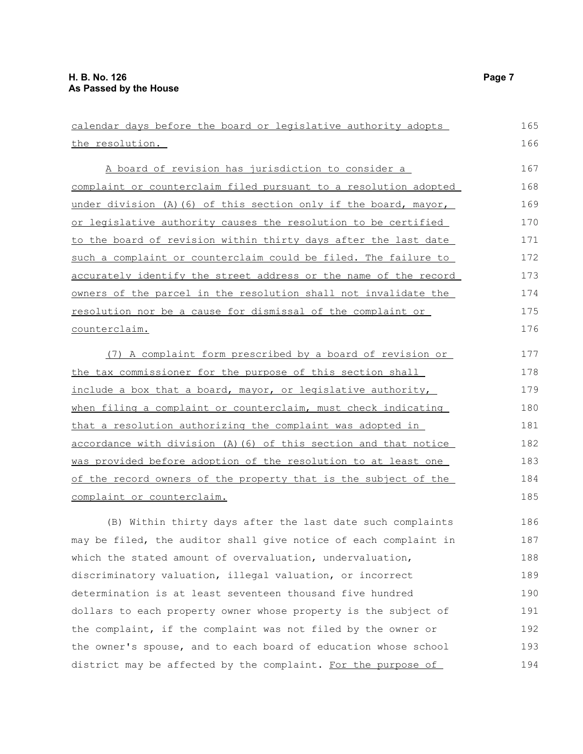| calendar days before the board or legislative authority adopts   |     |
|------------------------------------------------------------------|-----|
| the resolution.                                                  | 166 |
| A board of revision has jurisdiction to consider a               | 167 |
| complaint or counterclaim filed pursuant to a resolution adopted | 168 |
| under division (A) (6) of this section only if the board, mayor, | 169 |
| or legislative authority causes the resolution to be certified   | 170 |
| to the board of revision within thirty days after the last date  | 171 |
| such a complaint or counterclaim could be filed. The failure to  | 172 |
| accurately identify the street address or the name of the record | 173 |
| owners of the parcel in the resolution shall not invalidate the  | 174 |
| resolution nor be a cause for dismissal of the complaint or      | 175 |
| counterclaim.                                                    | 176 |
| (7) A complaint form prescribed by a board of revision or        | 177 |
| the tax commissioner for the purpose of this section shall       | 178 |
| include a box that a board, mayor, or legislative authority,     | 179 |
| when filing a complaint or counterclaim, must check indicating   | 180 |
| that a resolution authorizing the complaint was adopted in       | 181 |
| accordance with division (A) (6) of this section and that notice | 182 |
| was provided before adoption of the resolution to at least one   | 183 |
| of the record owners of the property that is the subject of the  | 184 |
| complaint or counterclaim.                                       | 185 |
| (B) Within thirty days after the last date such complaints       | 186 |
| may be filed, the auditor shall give notice of each complaint in | 187 |
| which the stated amount of overvaluation, undervaluation,        | 188 |
| discriminatory valuation, illegal valuation, or incorrect        | 189 |
| determination is at least seventeen thousand five hundred        | 190 |
| dollars to each property owner whose property is the subject of  | 191 |
| the complaint, if the complaint was not filed by the owner or    | 192 |
| the owner's spouse, and to each board of education whose school  | 193 |
| district may be affected by the complaint. For the purpose of    | 194 |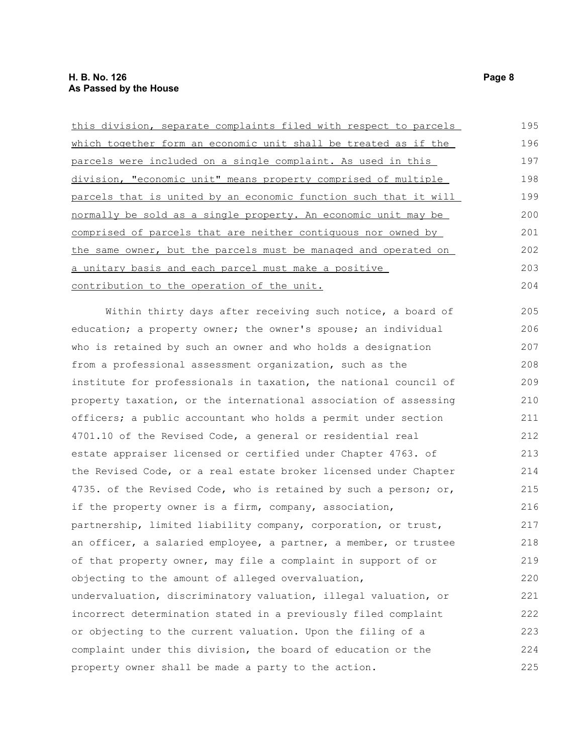| this division, separate complaints filed with respect to parcels | 195 |
|------------------------------------------------------------------|-----|
| which together form an economic unit shall be treated as if the  |     |
| parcels were included on a single complaint. As used in this     | 197 |
| division, "economic unit" means property comprised of multiple   | 198 |
| parcels that is united by an economic function such that it will | 199 |
| normally be sold as a single property. An economic unit may be   | 200 |
| comprised of parcels that are neither contiguous nor owned by    | 201 |
| the same owner, but the parcels must be managed and operated on  | 202 |
| a unitary basis and each parcel must make a positive             | 203 |
| contribution to the operation of the unit.                       | 204 |
| Within thirty days after receiving such notice, a board of       | 205 |
| education; a property owner; the owner's spouse; an individual   | 206 |
| who is retained by such an owner and who holds a designation     | 207 |
| from a professional assessment organization, such as the         | 208 |
| institute for professionals in taxation, the national council of | 209 |
| property taxation, or the international association of assessing | 210 |
| officers; a public accountant who holds a permit under section   | 211 |
| 4701.10 of the Revised Code, a general or residential real       | 212 |
| estate appraiser licensed or certified under Chapter 4763. of    | 213 |
| the Revised Code, or a real estate broker licensed under Chapter | 214 |
| 4735. of the Revised Code, who is retained by such a person; or, | 215 |
| if the property owner is a firm, company, association,           | 216 |
| partnership, limited liability company, corporation, or trust,   | 217 |
| an officer, a salaried employee, a partner, a member, or trustee | 218 |
| of that property owner, may file a complaint in support of or    | 219 |
| objecting to the amount of alleged overvaluation,                | 220 |
| undervaluation, discriminatory valuation, illegal valuation, or  | 221 |
| incorrect determination stated in a previously filed complaint   | 222 |
| or objecting to the current valuation. Upon the filing of a      |     |
| complaint under this division, the board of education or the     | 224 |
| property owner shall be made a party to the action.              | 225 |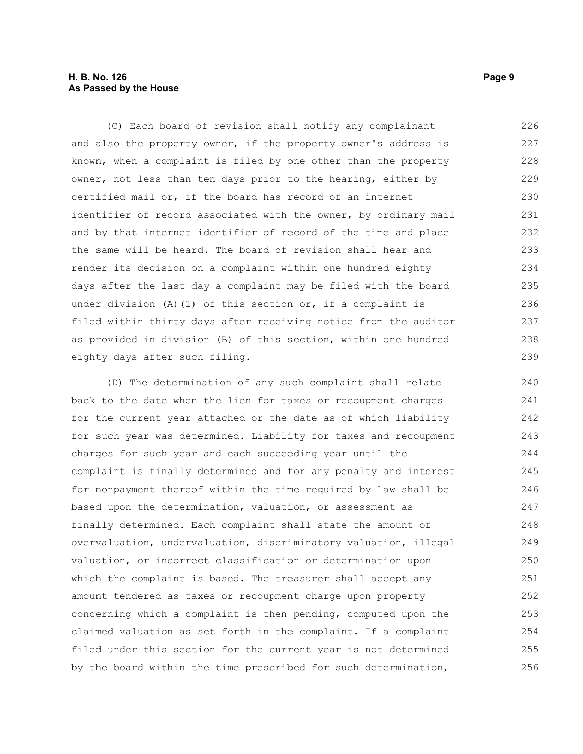#### **H. B. No. 126 Page 9 As Passed by the House**

(C) Each board of revision shall notify any complainant and also the property owner, if the property owner's address is known, when a complaint is filed by one other than the property owner, not less than ten days prior to the hearing, either by certified mail or, if the board has record of an internet identifier of record associated with the owner, by ordinary mail and by that internet identifier of record of the time and place the same will be heard. The board of revision shall hear and render its decision on a complaint within one hundred eighty days after the last day a complaint may be filed with the board under division (A)(1) of this section or, if a complaint is filed within thirty days after receiving notice from the auditor as provided in division (B) of this section, within one hundred eighty days after such filing. 226 227 228 229 230 231 232 233 234 235 236 237 238 239

(D) The determination of any such complaint shall relate back to the date when the lien for taxes or recoupment charges for the current year attached or the date as of which liability for such year was determined. Liability for taxes and recoupment charges for such year and each succeeding year until the complaint is finally determined and for any penalty and interest for nonpayment thereof within the time required by law shall be based upon the determination, valuation, or assessment as finally determined. Each complaint shall state the amount of overvaluation, undervaluation, discriminatory valuation, illegal valuation, or incorrect classification or determination upon which the complaint is based. The treasurer shall accept any amount tendered as taxes or recoupment charge upon property concerning which a complaint is then pending, computed upon the claimed valuation as set forth in the complaint. If a complaint filed under this section for the current year is not determined by the board within the time prescribed for such determination, 240 241 242 243 244 245 246 247 248 249 250 251 252 253 254 255 256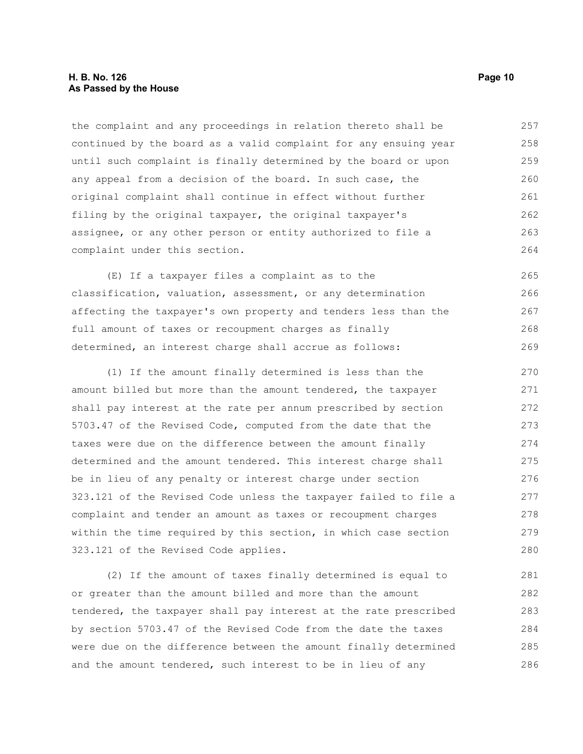#### **H. B. No. 126 Page 10 As Passed by the House**

the complaint and any proceedings in relation thereto shall be continued by the board as a valid complaint for any ensuing year until such complaint is finally determined by the board or upon any appeal from a decision of the board. In such case, the original complaint shall continue in effect without further filing by the original taxpayer, the original taxpayer's assignee, or any other person or entity authorized to file a complaint under this section. 257 258 259 260 261 262 263 264

(E) If a taxpayer files a complaint as to the classification, valuation, assessment, or any determination affecting the taxpayer's own property and tenders less than the full amount of taxes or recoupment charges as finally determined, an interest charge shall accrue as follows: 265 266 267 268 269

(1) If the amount finally determined is less than the amount billed but more than the amount tendered, the taxpayer shall pay interest at the rate per annum prescribed by section 5703.47 of the Revised Code, computed from the date that the taxes were due on the difference between the amount finally determined and the amount tendered. This interest charge shall be in lieu of any penalty or interest charge under section 323.121 of the Revised Code unless the taxpayer failed to file a complaint and tender an amount as taxes or recoupment charges within the time required by this section, in which case section 323.121 of the Revised Code applies. 270 271 272 273 274 275 276 277 278 279 280

(2) If the amount of taxes finally determined is equal to or greater than the amount billed and more than the amount tendered, the taxpayer shall pay interest at the rate prescribed by section 5703.47 of the Revised Code from the date the taxes were due on the difference between the amount finally determined and the amount tendered, such interest to be in lieu of any 281 282 283 284 285 286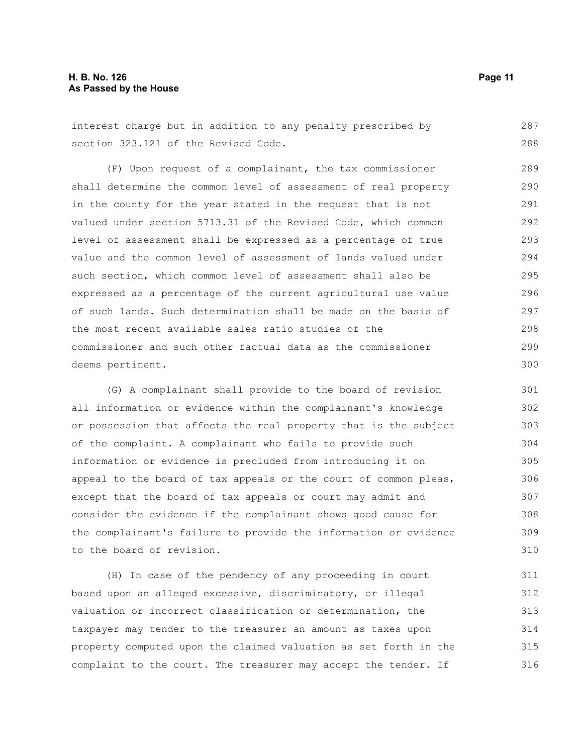#### **H. B. No. 126 Page 11 As Passed by the House**

interest charge but in addition to any penalty prescribed by section 323.121 of the Revised Code. 287 288

(F) Upon request of a complainant, the tax commissioner shall determine the common level of assessment of real property in the county for the year stated in the request that is not valued under section 5713.31 of the Revised Code, which common level of assessment shall be expressed as a percentage of true value and the common level of assessment of lands valued under such section, which common level of assessment shall also be expressed as a percentage of the current agricultural use value of such lands. Such determination shall be made on the basis of the most recent available sales ratio studies of the commissioner and such other factual data as the commissioner deems pertinent. 289 290 291 292 293 294 295 296 297 298 299 300

(G) A complainant shall provide to the board of revision all information or evidence within the complainant's knowledge or possession that affects the real property that is the subject of the complaint. A complainant who fails to provide such information or evidence is precluded from introducing it on appeal to the board of tax appeals or the court of common pleas, except that the board of tax appeals or court may admit and consider the evidence if the complainant shows good cause for the complainant's failure to provide the information or evidence to the board of revision.

(H) In case of the pendency of any proceeding in court based upon an alleged excessive, discriminatory, or illegal valuation or incorrect classification or determination, the taxpayer may tender to the treasurer an amount as taxes upon property computed upon the claimed valuation as set forth in the complaint to the court. The treasurer may accept the tender. If 311 312 313 314 315 316